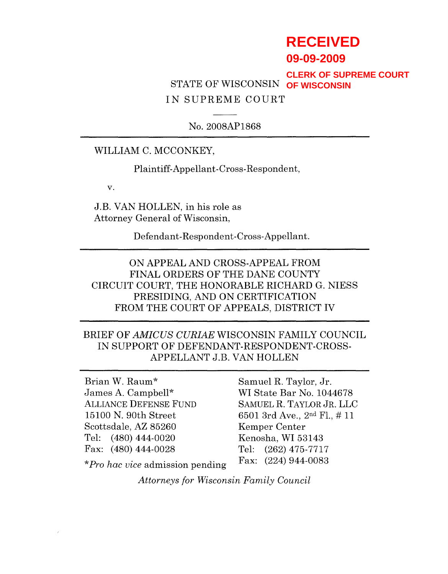# **RECEIVED**

**09-09-2009**

STATE OF WISCONSIN **OF WISCONSIN**IN SUPREME COURT **CLERK OF SUPREME COURT**

No.2008AP1868

### WILLIAM C. MCCONKEY,

Plaintiff-Appellant-Cross-Respondent,

v.

J.B. VAN HOLLEN, in his role as Attorney General of Wisconsin,

Defendant-Respondent-Cross-Appellant.

ON APPEAL AND CROSS-APPEAL FROM FINAL ORDERS OF THE DANE COUNTY CIRCUIT COURT, THE HONORABLE RICHARD G. NIESS PRESIDING, AND ON CERTIFICATION FROM THE COURT OF APPEALS, DISTRICT IV

# BRIEF OF *AMICUS CURIAE* WISCONSIN FAMILY COUNCIL IN SUPPORT OF DEFENDANT-RESPONDENT-CROSS-APPELLANT J.B. VAN HOLLEN

Brian W. Raum\* James A. Campbell\* ALLIANCE DEFENSE FUND 15100 N. 90th Street Scottsdale, AZ 85260 Tel: (480) 444-0020 Fax: (480) 444-0028

Samuel R. Taylor, Jr. WI State Bar No. 1044678 SAMUEL R. TAYLOR JR. LLC 6501 3rd Ave., 2nd Fl., # 11 Kemper Center Kenosha, WI 53143 Tel: (262) 475-7717 Fax: (224) 944-0083

\**Pro hac vice* admission pending

*Attorneys for Wisconsin Family Council*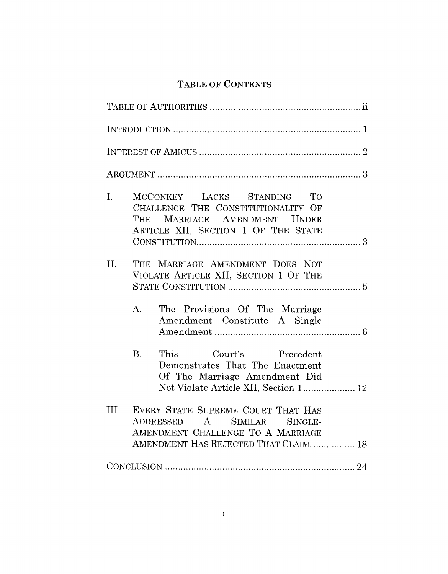# TABLE OF CONTENTS

| MCCONKEY LACKS STANDING TO<br>CHALLENGE THE CONSTITUTIONALITY OF<br>THE MARRIAGE AMENDMENT UNDER<br>ARTICLE XII, SECTION 1 OF THE STATE                  |      |  |  |  |  |  |  |
|----------------------------------------------------------------------------------------------------------------------------------------------------------|------|--|--|--|--|--|--|
| THE MARRIAGE AMENDMENT DOES NOT<br>VIOLATE ARTICLE XII, SECTION 1 OF THE                                                                                 | II.  |  |  |  |  |  |  |
| The Provisions Of The Marriage<br>A <sub>1</sub><br>Amendment Constitute A Single                                                                        |      |  |  |  |  |  |  |
| Court's Precedent<br>B <sub>1</sub><br>This<br>Demonstrates That The Enactment<br>Of The Marriage Amendment Did<br>Not Violate Article XII, Section 1 12 |      |  |  |  |  |  |  |
| EVERY STATE SUPREME COURT THAT HAS<br>ADDRESSED A SIMILAR SINGLE-<br>AMENDMENT CHALLENGE TO A MARRIAGE<br>AMENDMENT HAS REJECTED THAT CLAIM 18           | III. |  |  |  |  |  |  |
|                                                                                                                                                          |      |  |  |  |  |  |  |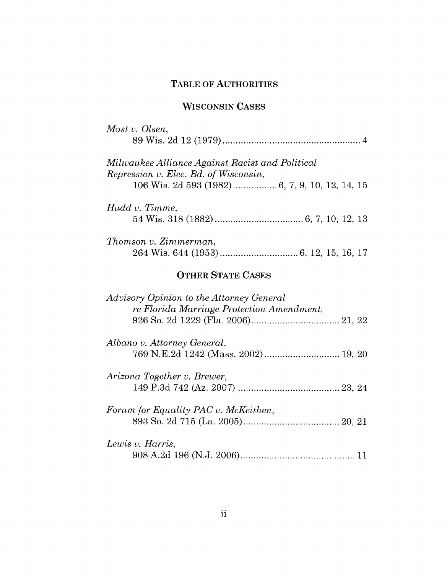# TABLE OF AUTHORITIES

# WISCONSIN CASES

| Mast v. Olsen,                                                                           |
|------------------------------------------------------------------------------------------|
| Milwaukee Alliance Against Racist and Political<br>Repression v. Elec. Bd. of Wisconsin, |
|                                                                                          |
| Hudd v. Timme,                                                                           |
|                                                                                          |
| Thomson v. Zimmerman,                                                                    |
|                                                                                          |
| <b>OTHER STATE CASES</b>                                                                 |
| Advisory Opinion to the Attorney General                                                 |
| re Florida Marriage Protection Amendment,                                                |
|                                                                                          |
| Albano v. Attorney General,                                                              |
|                                                                                          |
| Arizona Together v. Brewer,                                                              |
|                                                                                          |
| Forum for Equality PAC v. McKeithen,                                                     |
|                                                                                          |
| Lewis v. Harris,                                                                         |
|                                                                                          |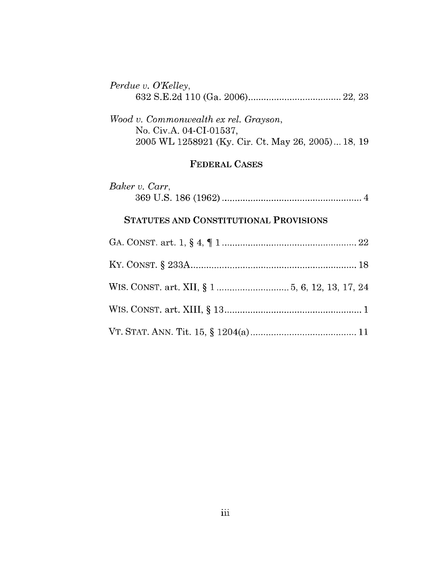|              | Perdue v. O'Kelley, |                                                             |  |  |
|--------------|---------------------|-------------------------------------------------------------|--|--|
|              |                     |                                                             |  |  |
| $\mathbf{r}$ |                     | $\mathbf{1} \cdot \mathbf{1}$ $\mathbf{1} \cdot \mathbf{1}$ |  |  |

*Wood v. Commonwealth ex rel. Grayson,* No. Civ.A. 04-CI-01537, 2005 WL 1258921 (Ky. Cir. Ct. May 26, 2005) ... 18, 19

# FEDERAL CASES

| Baker v. Carr,                         |
|----------------------------------------|
| STATUTES AND CONSTITUTIONAL PROVISIONS |
|                                        |
|                                        |
|                                        |
|                                        |
|                                        |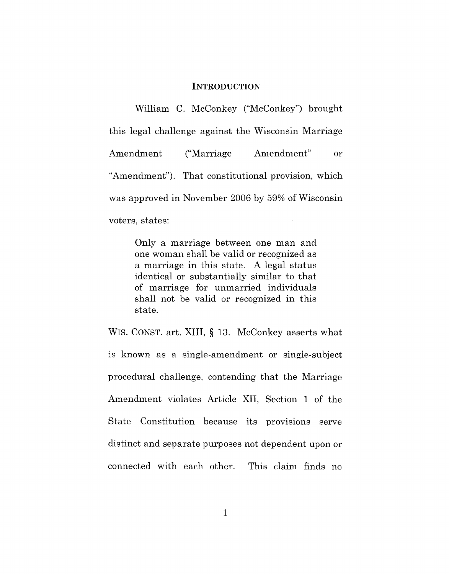#### **INTRODUCTION**

William C. McConkey ("McConkey") brought this legal challenge against the Wisconsin Marriage Amendment ("Marriage Amendment" or "Amendment"). That constitutional provision, which was approved in November 2006 by 59% of Wisconsin voters, states:

> Only a marriage between one man and one woman shall be valid or recognized as a marriage in this state. A legal status identical or substantially similar to that of marriage for unmarried individuals shall not be valid or recognized in this state.

WIS. CONST. art. XIII, § 13. McConkey asserts what is known as a single-amendment or single-subject procedural challenge, contending that the Marriage Amendment violates Article XII, Section 1 of the State Constitution because its provisions serve distinct and separate purposes not dependent upon or connected with each other. This claim finds no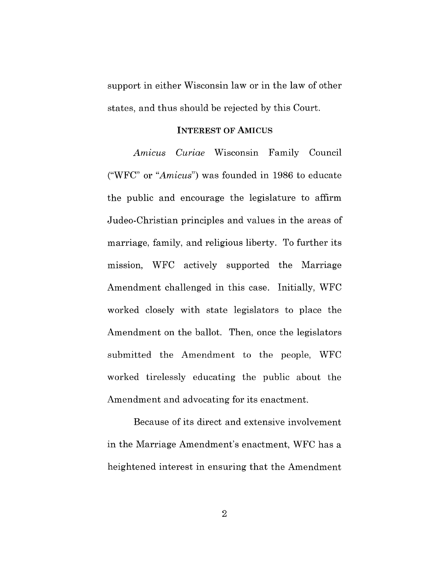support in either Wisconsin law or in the law of other states, and thus should be rejected by this Court.

#### INTEREST OF AMICUS

*Amicus Curiae* Wisconsin Family Council ("WFC" or *"Amicus")* was founded in 1986 to educate the public and encourage the legislature to affirm Judeo-Christian principles and values in the areas of marriage, family, and religious liberty. To further its mission, WFC actively supported the Marriage Amendment challenged in this case. Initially, WFC worked closely with state legislators to place the Amendment on the ballot. Then, once the legislators submitted the Amendment to the people, WFC worked tirelessly educating the public about the Amendment and advocating for its enactment.

Because of its direct and extensive involvement in the Marriage Amendment's enactment, WFC has a heightened interest in ensuring that the Amendment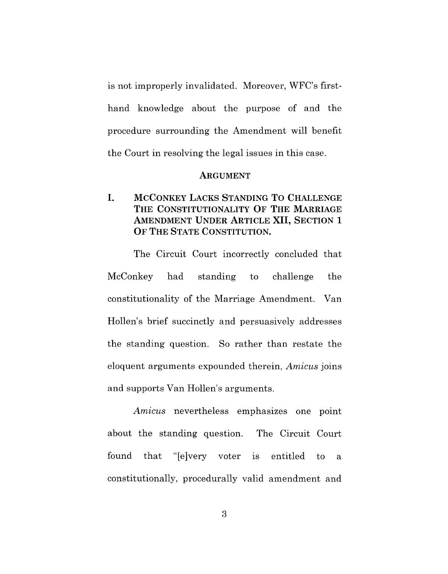is not improperly invalidated. Moreover, WFC's firsthand knowledge about the purpose of and the procedure surrounding the Amendment will benefit the Court in resolving the legal issues in this case.

#### ARGUMENT

# I. MCCONKEY LACKS STANDING To CHALLENGE THE CONSTITUTIONALITY OF THE MARRIAGE AMENDMENT UNDER ARTICLE XII, SECTION 1 OF THE STATE CONSTITUTION.

The Circuit Court incorrectly concluded that McConkey had standing to challenge the constitutionality of the Marriage Amendment. Van Hollen's brief succinctly and persuasively addresses the standing question. So rather than restate the eloquent arguments expounded therein, *Amicus* joins and supports Van Hollen's arguments.

*Amicus* nevertheless emphasizes one point about the standing question. The Circuit Court found that "[e]very voter is entitled to a constitutionally, procedurally valid amendment and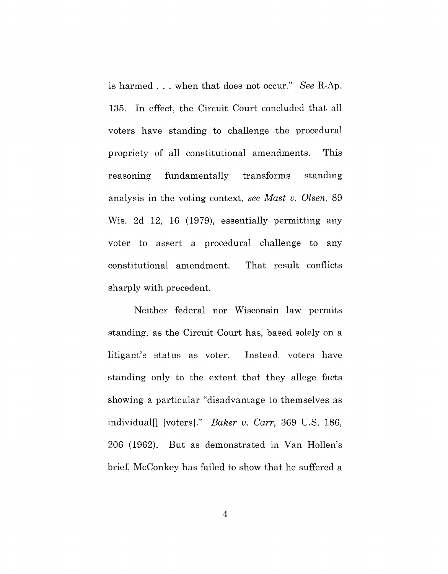is harmed ... when that does not occur." *See* R-Ap. 135. In effect, the Circuit Court concluded that all voters have standing to challenge the procedural propriety of all constitutional amendments. This reasoning fundamentally transforms standing analysis in the voting context, *see Mast v. Olsen, 89* Wis. 2d 12, 16 (1979), essentially permitting any voter to assert a procedural challenge to any constitutional amendment. sharply with precedent. That result conflicts

Neither federal nor Wisconsin law permits standing, as the Circuit Court has, based solely on a litigant's status as voter. Instead, voters have standing only to the extent that they allege facts showing a particular "disadvantage to themselves as individualj] [voters]." *Baker v. Carr,* 369 U.S. 186, 206 (1962). But as demonstrated in Van Hollen's brief, McConkey has failed to show that he suffered a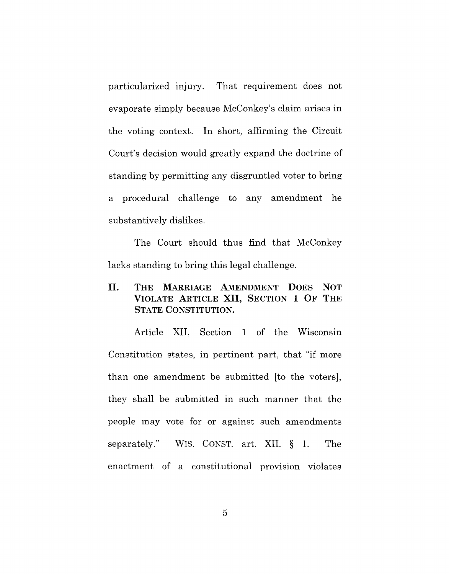particularized injury. That requirement does not evaporate simply because McConkey's claim arises in the voting context. In short, affirming the Circuit Court's decision would greatly expand the doctrine of standing by permitting any disgruntled voter to bring a procedural challenge to any amendment he substantively dislikes.

The Court should thus find that McConkey lacks standing to bring this legal challenge.

**II.** THE MARRIAGE AMENDMENT DOES NOT VIOLATE ARTICLE XII, SECTION 1 OF THE STATE CONSTITUTION.

Article XII, Section 1 of the Wisconsin Constitution states, in pertinent part, that "if more than one amendment be submitted [to the voters], they shall be submitted in such manner that the people may vote for or against such amendments separately." WIS. CONST. art. XII, § 1. The enactment of a constitutional provision violates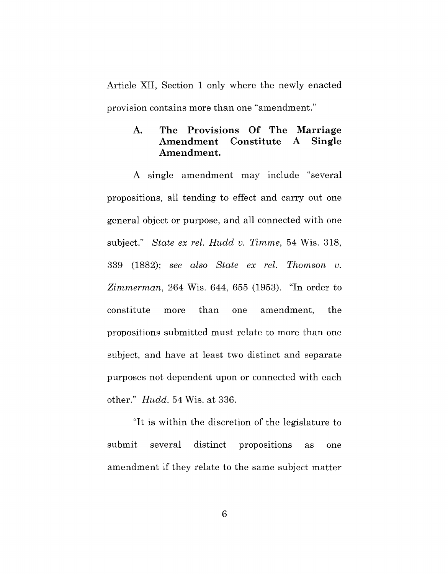Article XII, Section 1 only where the newly enacted provision contains more than one "amendment."

#### **A. The Provisions Of The Marriage Amendment Constitute Amendment.** A **Single**

A single amendment may include "several propositions, all tending to effect and carry out one general object or purpose, and all connected with one subject." *State ex rel. Hudd v. Timme,* 54 Wis. 318, 339 (1882); *see also State ex rel. Thomson v. Zimmerman,* 264 Wis. 644, 655 (1953). "In order to constitute more than one amendment, the propositions submitted must relate to more than one subject, and have at least two distinct and separate purposes not dependent upon or connected with each other." *Hudd,* 54 Wis. at 336.

"It is within the discretion of the legislature to submit several distinct propositions as one amendment if they relate to the same subject matter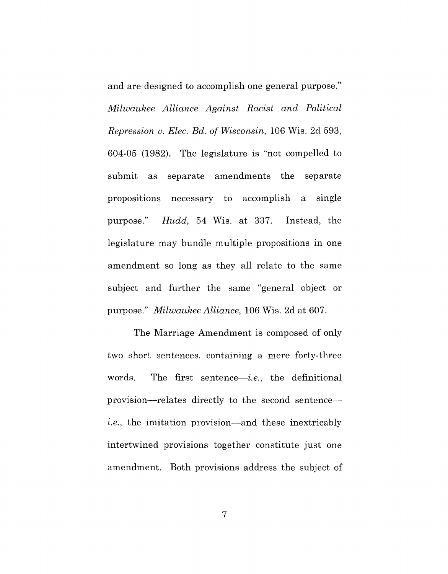and are designed to accomplish one general purpose." *Milwaukee Alliance Against Racist and Political Repression v. Elec. Bd. of Wisconsin,* 106 Wis. 2d 593, 604-05 (1982). The legislature is "not compelled to submit as separate amendments the separate propositions necessary to accomplish a single purpose." *Hudd,* 54 Wis. at 337. Instead, the legislature may bundle multiple propositions in one amendment so long as they all relate to the same subject and further the same "general object or purpose." *Milwaukee Alliance,* 106 Wis. 2d at 607.

The Marriage Amendment is composed of only two short sentences, containing a mere forty-three words. The first sentence—*i.e.*, the definitional provision—relates directly to the second sentence *i.e.*, the imitation provision—and these inextricably intertwined provisions together constitute just one amendment. Both provisions address the subject of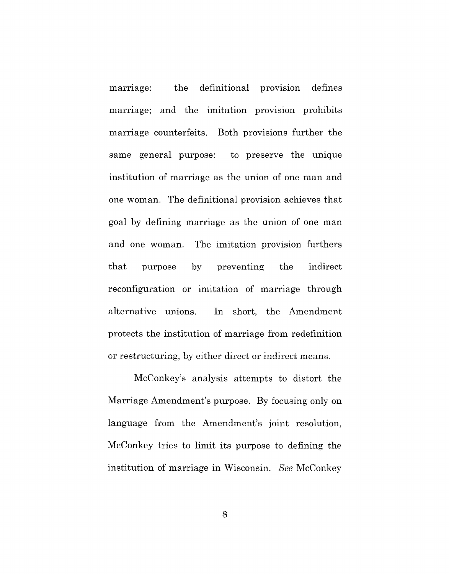marriage: the definitional provision defines marriage; and the imitation provision prohibits marriage counterfeits. Both provisions further the same general purpose: to preserve the unique institution of marriage as the union of one man and one woman. The definitional provision achieves that goal by defining marriage as the union of one man and one woman. The imitation provision furthers that purpose by preventing the indirect reconfiguration or imitation of marriage through alternative unions. In short, the Amendment protects the institution of marriage from redefinition or restructuring, by either direct or indirect means.

McConkey's analysis attempts to distort the Marriage Amendment's purpose. By focusing only on language from the Amendment's joint resolution, McConkey tries to limit its purpose to defining the institution of marriage in Wisconsin. *See* McConkey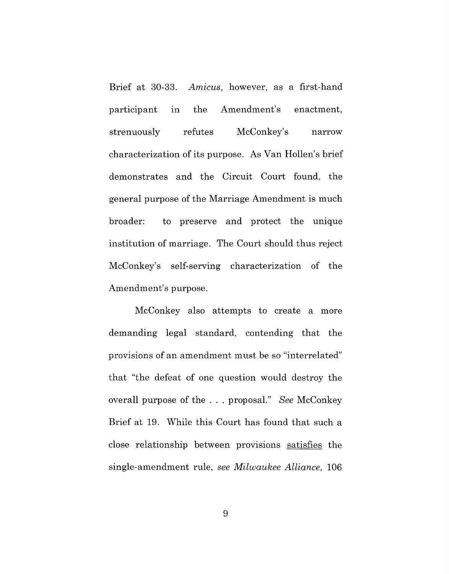Brief at 30-33. *Amicus,* however, as a first-hand participant in the Amendment's enactment, strenuously refutes McConkey's narrow characterization of its purpose. As Van Hollen's brief demonstrates and the Circuit Court found, the general purpose of the Marriage Amendment is much broader: to preserve and protect the unique institution of marriage. The Court should thus reject McConkey's self-serving characterization of the Amendment's purpose.

McConkey also attempts to create a more demanding legal standard, contending that the provisions of an amendment must be so "interrelated" that "the defeat of one question would destroy the overall purpose of the ... proposal." *See* McConkey Brief at 19. While this Court has found that such a close relationship between provisions satisfies the single-amendment rule, *see Milwaukee Alliance, 106*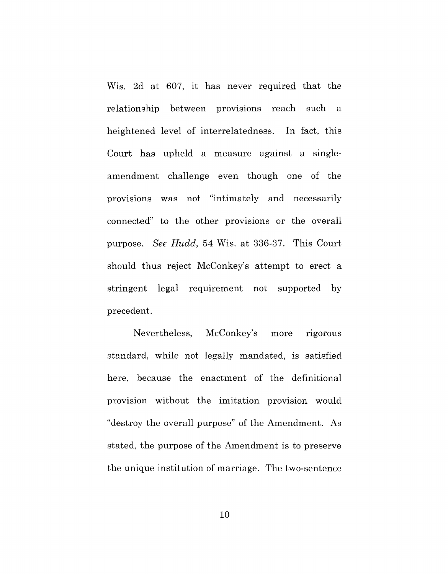Wis. 2d at 607, it has never required that the relationship between provisions reach such a heightened level of interrelatedness. In fact, this Court has upheld a measure against a singleamendment challenge even though one of the provisions was not "intimately and necessarily connected" to the other provisions or the overall purpose. *See Hudd,* 54 Wis. at 336-37. This Court should thus reject McConkey's attempt to erect a stringent legal requirement not supported by precedent.

Nevertheless, McConkey's more rigorous standard, while not legally mandated, is satisfied here, because the enactment of the definitional provision without the imitation provision would "destroy the overall purpose" of the Amendment. As stated, the purpose of the Amendment is to preserve the unique institution of marriage. The two-sentence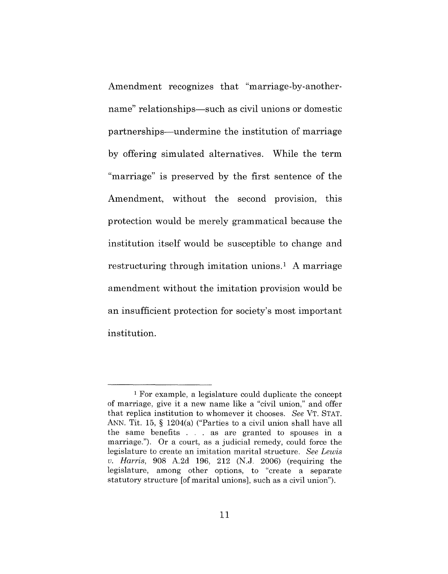Amendment recognizes that "marriage-by-anothername" relationships—such as civil unions or domestic partnerships-undermine the institution of marriage by offering simulated alternatives. While the term "marriage" is preserved by the first sentence of the Amendment, without the second provision, this protection would be merely grammatical because the institution itself would be susceptible to change and restructuring through imitation unions.<sup>1</sup> A marriage amendment without the imitation provision would be an insufficient protection for society's most important institution.

<sup>1</sup> For example, a legislature could duplicate the concept of marriage, give it a new name like a "civil union," and offer that replica institution to whomever it chooses. *See* VT. STAT. ANN. Tit. 15, § 1204(a) ("Parties to a civil union shall have all the same benefits. . as are granted to spouses in a marriage."). Or a court, as a judicial remedy, could force the legislature to create an imitation marital structure. *See Lewis u. Harris,* 908 A.2d 196, 212 (N.J. 2006) (requiring the legislature, among other options, to "create a separate statutory structure [of marital unions], such as a civil union").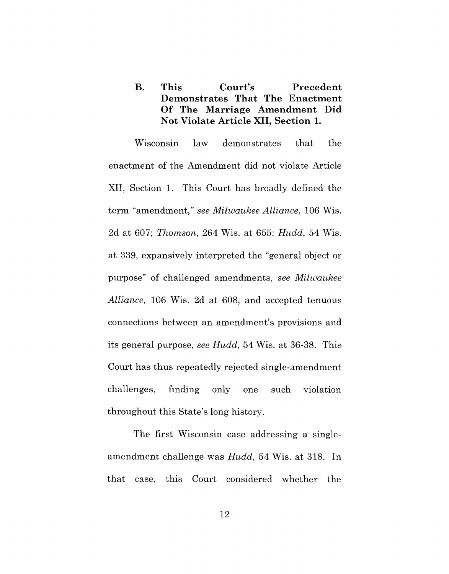**B. This Court's Precedent Demonstrates That The Enactment Of The Marriage Amendment Did Not Violate Article XII, Section 1.**

Wisconsin law demonstrates that the enactment of the Amendment did not violate Article XII, Section 1. This Court has broadly defined the term "amendment," *see Milwaukee Alliance,* 106 Wis. 2d at 607; *Thomson,* 264 Wis. at 655; *Hudd,* 54 Wis. at 339, expansively interpreted the "general object or purpose" of challenged amendments, *see Milwaukee Alliance,* 106 Wis. 2d at 608, and accepted tenuous connections between an amendment's provisions and its general purpose, *see Hudd,* 54 Wis. at 36-38. This Court has thus repeatedly rejected single-amendment challenges, finding only one such violation throughout this State's long history.

The first Wisconsin case addressing a singleamendment challenge was *Hudd,* 54 Wis. at 318. In that case, this Court considered whether the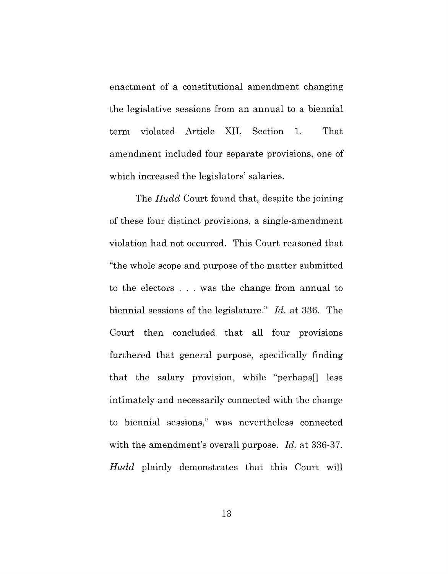enactment of a constitutional amendment changing the legislative sessions from an annual to a biennial term violated Article XII, Section 1. That amendment included four separate provisions, one of which increased the legislators' salaries.

The *Hudd* Court found that, despite the joining of these four distinct provisions, a single-amendment violation had not occurred. This Court reasoned that "the whole scope and purpose of the matter submitted to the electors ... was the change from annual to biennial sessions of the legislature." *Id.* at 336. The Court then concluded that all four provisions furthered that general purpose, specifically finding that the salary provision, while "perhaps[] less intimately and necessarily connected with the change to biennial sessions," was nevertheless connected with the amendment's overall purpose. *Id.* at 336-37. *Hudd* plainly demonstrates that this Court will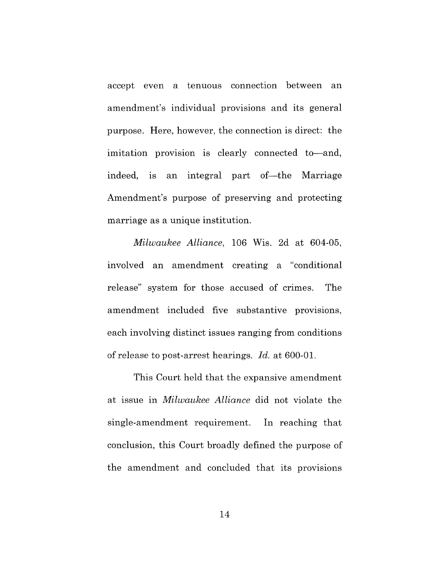accept even a tenuous connection between an amendment's individual provisions and its general purpose. Here, however, the connection is direct: the imitation provision is clearly connected to-and, indeed, is an integral part of—the Marriage Amendment's purpose of preserving and protecting marriage as a unique institution.

*Milwaukee Alliance,* 106 Wis. 2d at 604-05, involved an amendment creating a "conditional release" system for those accused of crimes. The amendment included five substantive provisions, each involving distinct issues ranging from conditions of release to post-arrest hearings. *Id.* at 600-01.

This Court held that the expansive amendment at issue in *Milwaukee Alliance* did not violate the single-amendment requirement. **In** reaching that conclusion, this Court broadly defined the purpose of the amendment and concluded that its provisions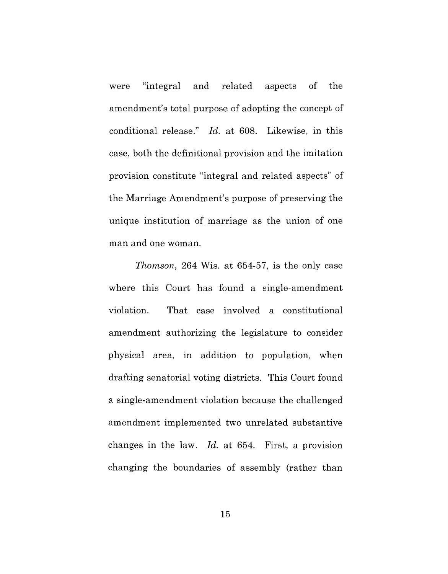were "integral and related aspects of the amendment's total purpose of adopting the concept of conditional release." *Id.* at 608. Likewise, in this case, both the definitional provision and the imitation provision constitute "integral and related aspects" of the Marriage Amendment's purpose of preserving the unique institution of marriage as the union of one man and one woman.

*Thomson,* 264 Wis. at 654-57, is the only case where this Court has found a single-amendment violation. That case involved a constitutional amendment authorizing the legislature to consider physical area, in addition to population, when drafting senatorial voting districts. This Court found a single-amendment violation because the challenged amendment implemented two unrelated substantive changes in the law. *Id.* at 654. First, a provision changing the boundaries of assembly (rather than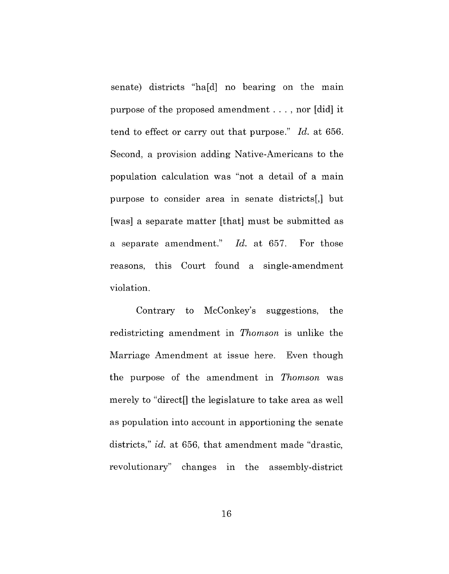senate) districts "hald no bearing on the main purpose of the proposed amendment ... , nor [did] it tend to effect or carry out that purpose." *Id.* at 656. Second, a provision adding Native-Americans to the population calculation was "not a detail of a main purpose to consider area in senate districts[,] but [was] a separate matter [that] must be submitted as a separate amendment." *Id.* at 657. For those reasons, this Court found a single-amendment violation.

Contrary to McConkey's suggestions, the redistricting amendment in *Thomson* is unlike the Marriage Amendment at issue here. Even though the purpose of the amendment in *Thomson* was merely to "direct[] the legislature to take area as well as population into account in apportioning the senate districts," *id.* at 656, that amendment made "drastic, revolutionary" changes in the assembly-district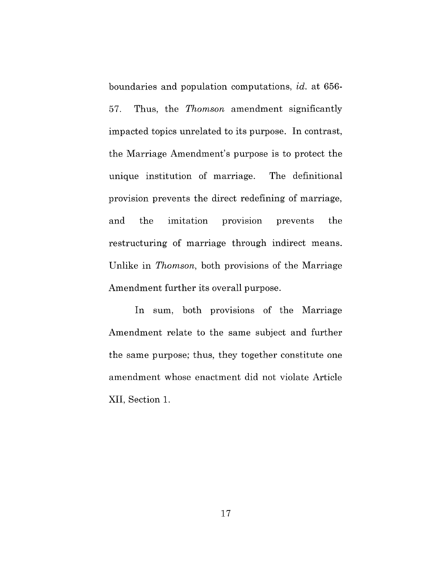boundaries and population computations, id. at 656- 57. Thus, the *Thomson* amendment significantly impacted topics unrelated to its purpose. In contrast, the Marriage Amendment's purpose is to protect the unique institution of marriage. The definitional provision prevents the direct redefining of marriage, and the imitation provision prevents the restructuring of marriage through indirect means. Unlike in *Thomson,* both provisions of the Marriage Amendment further its overall purpose.

In sum, both provisions of the Marriage Amendment relate to the same subject and further the same purpose; thus, they together constitute one amendment whose enactment did not violate Article XII, Section 1.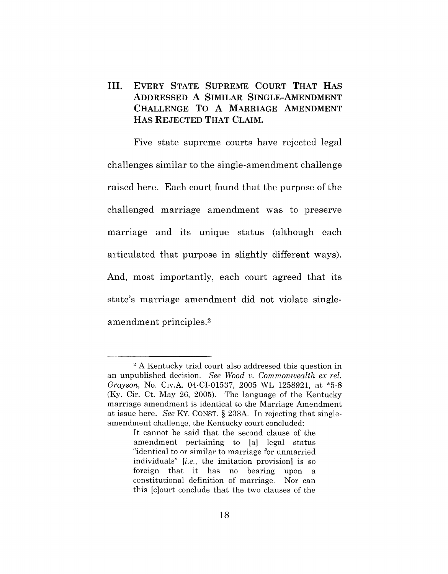# **III. EVERY STATE SUPREME COURT THAT HAS ADDRESSED A SIMILAR SINGLE-AMENDMENT CHALLENGE To A MARRIAGE AMENDMENT HAS REJECTED THAT CLAIM.**

Five state supreme courts have rejected legal challenges similar to the single-amendment challenge raised here. Each court found that the purpose of the challenged marriage amendment was to preserve marriage and its unique status (although each articulated that purpose in slightly different ways). And, most importantly, each court agreed that its state's marriage amendment did not violate singleamendment principles.<sup>2</sup>

<sup>2</sup> A Kentucky trial court also addressed this question in an unpublished decision. *See Wood v. Commonwealth ex rel. Grayson,* No., Civ.A. 04-CI-01537, 2005 WL 1258921, at \*5-8 (Ky. Cir Ct. May 26, 2005). The language of the Kentucky marriage amendment is identical to the Marriage Amendment at issue here" *See* Ky. CONST. § 233A. In rejecting that singleamendment challenge, the Kentucky court concluded:

It cannot be said that the second clause of the amendment pertaining to [a] legal status "identical to or similar to marriage for unmarried individuals" [i.e., the imitation provision] is so foreign that it has no bearing upon a constitutional definition of marriage, Nor can this [c]ourt conclude that the two clauses of the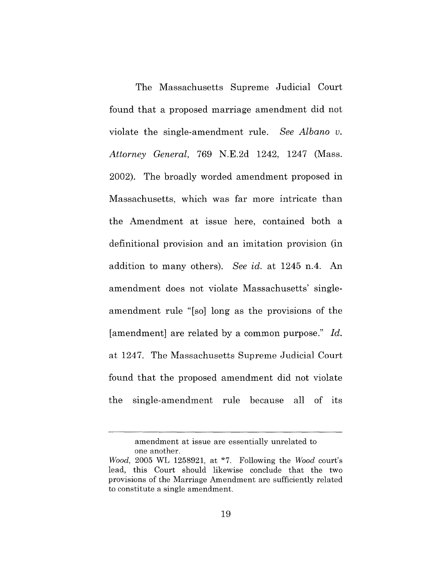The Massachusetts Supreme Judicial Court found that a proposed marriage amendment did not violate the single-amendment rule. *See Albano v. Attorney General,* 769 N.E.2d 1242, 1247 (Mass. 2002). The broadly worded amendment proposed in Massachusetts, which was far more intricate than the Amendment at issue here, contained both a definitional provision and an imitation provision (in addition to many others). *See id.* at 1245 n.4. An amendment does not violate Massachusetts' singleamendment rule "[so] long as the provisions of the [amendment] are related by a common purpose." *Id.* at 1247. The Massachusetts Supreme Judicial Court found that the proposed amendment did not violate the single-amendment rule because all of its

amendment at issue are essentially unrelated to one another.

*Wood,* 2005 WL 1258921, at \*7. Following the *Wood* court's lead, this Court should likewise conclude that the two provisions of the Marriage Amendment are sufficiently related to constitute a single amendment.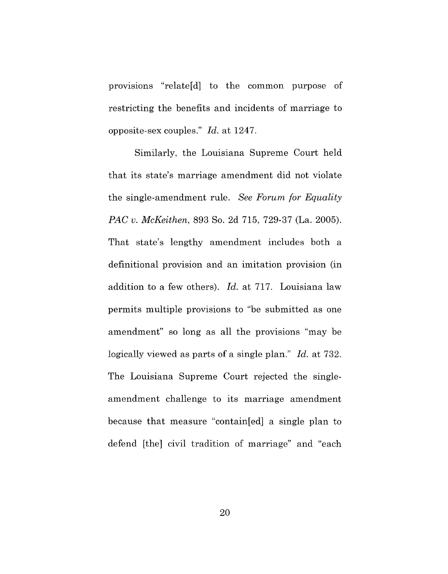provisions "relate[d] to the common purpose of restricting the benefits and incidents of marriage to opposite-sex couples." *Id.* at 1247.

Similarly, the Louisiana Supreme Court held that its state's marriage amendment did not violate the single-amendment rule. *See Forum for Equality PAC v. McKeithen,* 893 So. 2d 715, 729-37 (La. 2005). That state's lengthy amendment includes both a definitional provision and an imitation provision (in addition to a few others). *Id.* at 717. Louisiana law permits multiple provisions to "be submitted as one amendment" so long as all the provisions "may be logically viewed as parts of a single plan." *Id.* at 732. The Louisiana Supreme Court rejected the singleamendment challenge to its marriage amendment because that measure "contain[ed] a single plan to defend [the] civil tradition of marriage" and "each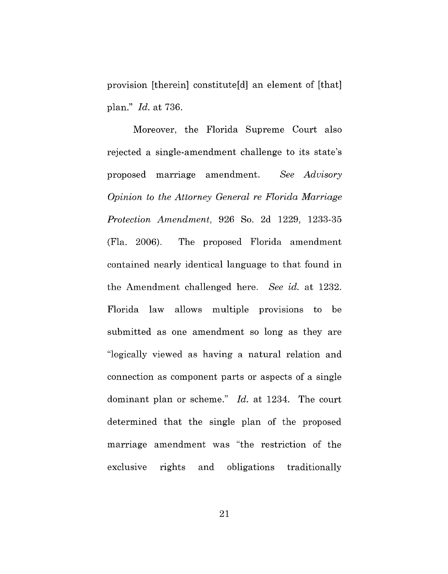provision [therein] constitute[d] an element of [that] plan." *Id.* at 736.

Moreover, the Florida Supreme Court also rejected a single-amendment challenge to its state's proposed marriage amendment. *See Advisory Opinion to the Attorney General re Florida Marriage Protection Amendment,* 926 So. 2d 1229, 1233-35 (Fla. 2006). The proposed Florida amendment contained nearly identical language to that found in the Amendment challenged here. *See id.* at 1232. Florida law allows multiple provisions to be submitted as one amendment so long as they are "logically viewed as having a natural relation and connection as component parts or aspects of a single dominant plan or scheme." *Id.* at 1234. The court determined that the single plan of the proposed marriage amendment was "the restriction of the exclusive rights and obligations traditionally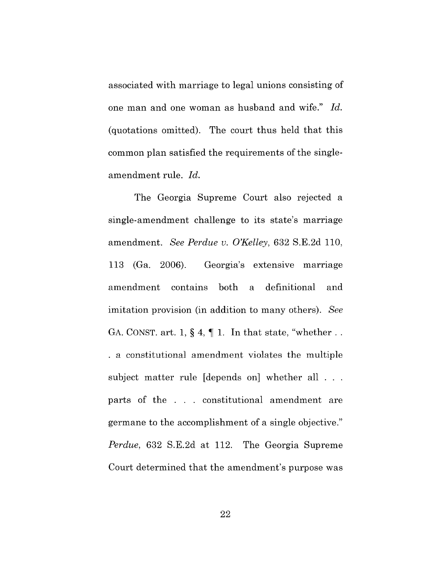associated with marriage to legal unions consisting of one man and one woman as husband and wife." *Id.* (quotations omitted). The court thus held that this common plan satisfied the requirements of the singleamendment rule. *Id.*

The Georgia Supreme Court also rejected a single-amendment challenge to its state's marriage amendment. *See Perdue v.* o*'Kelley,* <sup>632</sup> S.E.2d 110, 113 (Ga. 2006). Georgia's extensive marriage amendment contains both a definitional and imitation provision (in addition to many others). *See* GA. CONST. art. 1,  $\S 4$ ,  $\P 1$ . In that state, "whether ... . a constitutional amendment violates the multiple subject matter rule [depends on] whether all ... parts of the . . . constitutional amendment are germane to the accomplishment of a single objective." *Perdue,* 632 S.E.2d at 112. The Georgia Supreme Court determined that the amendment's purpose was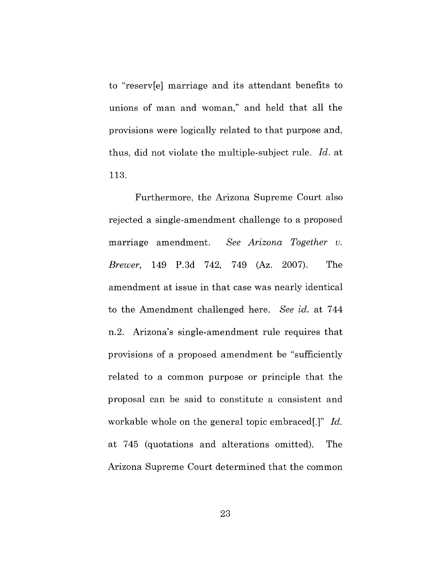to "reserv]e] marriage and its attendant benefits to unions of man and woman," and held that all the provisions were logically related to that purpose and, thus, did not violate the multiple-subject rule. *Id.* at 113.

Furthermore, the Arizona Supreme Court also rejected a single-amendment challenge to a proposed marriage amendment. *See Arizona Together v. Brewer,* 149 P.3d 742, 749 (Az. 2007). The amendment at issue in that case was nearly identical to the Amendment challenged here. *See id.* at 744 n.2. Arizona's single-amendment rule requires that provisions of a proposed amendment be "sufficiently related to a common purpose or principle that the proposal can be said to constitute a consistent and workable whole on the general topic embraced[.]" *Id.* at 745 (quotations and alterations omitted). The Arizona Supreme Court determined that the common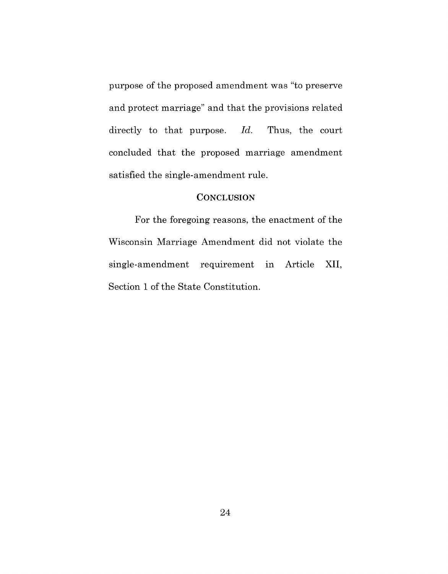purpose of the proposed amendment was "to preserve and protect marriage" and that the provisions related directly to that purpose. *Id.* Thus, the court concluded that the proposed marriage amendment satisfied the single-amendment rule.

# **CONCLUSION**

For the foregoing reasons, the enactment of the Wisconsin Marriage Amendment did not violate the single-amendment requirement in Article XII, Section 1 of the State Constitution.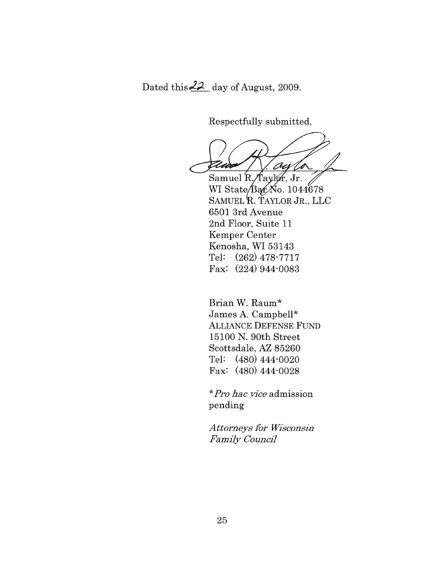Dated this  $22$  day of August, 2009.

Respectfully submitted,

aw 7.42 S

Samuel R. Taylor, Jr. WI State/Bar No.  $1044678$ SAMUEL R. TAYLOR JR., LLC 6501 3rd Avenue 2nd Floor, Suite 11 Kemper Center Kenosha, WI 53143 Tel: (262) 478-7717 Fax: (224) 944-0083

Brian W. Raum\* James A. Campbell\* ALLIANCE DEFENSE FUND 15100 N. 90th Street Scottsdale, AZ 85260 Tel: (480) 444-0020 Fax: (480) 444-0028

\**Pro hac vice* admission pending

Attorneys for Wisconsin *Family Council*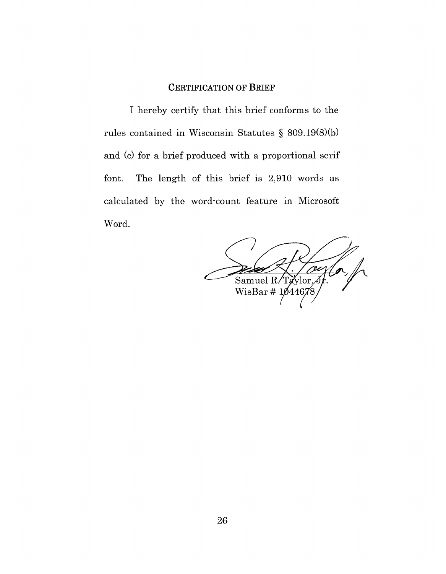# **CERTIFICATION OF BRIEF**

I hereby certify that this brief conforms to the rules contained in Wisconsin Statutes § 809.19(8)(b) and (c) for a brief produced with a proportional serif font. The length of this brief is 2,910 words as calculated by the word·count feature in Microsoft Word.

Teer Samuel R/ «vlor WisBar #  $1/446$